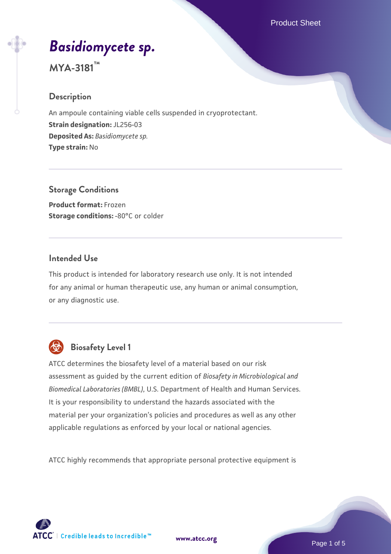# *[Basidiomycete sp.](https://www.atcc.org/products/mya-3181)*

# **MYA-3181™**

# **Description**

An ampoule containing viable cells suspended in cryoprotectant. **Strain designation:** JL256-03 **Deposited As:** *Basidiomycete sp.* **Type strain:** No

**Storage Conditions Product format:** Frozen **Storage conditions: -80°C or colder** 

# **Intended Use**

This product is intended for laboratory research use only. It is not intended for any animal or human therapeutic use, any human or animal consumption, or any diagnostic use.



# **Biosafety Level 1**

ATCC determines the biosafety level of a material based on our risk assessment as guided by the current edition of *Biosafety in Microbiological and Biomedical Laboratories (BMBL)*, U.S. Department of Health and Human Services. It is your responsibility to understand the hazards associated with the material per your organization's policies and procedures as well as any other applicable regulations as enforced by your local or national agencies.

ATCC highly recommends that appropriate personal protective equipment is

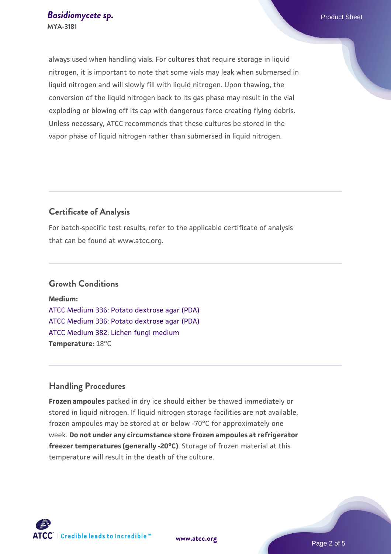always used when handling vials. For cultures that require storage in liquid nitrogen, it is important to note that some vials may leak when submersed in liquid nitrogen and will slowly fill with liquid nitrogen. Upon thawing, the conversion of the liquid nitrogen back to its gas phase may result in the vial exploding or blowing off its cap with dangerous force creating flying debris. Unless necessary, ATCC recommends that these cultures be stored in the vapor phase of liquid nitrogen rather than submersed in liquid nitrogen.

# **Certificate of Analysis**

For batch-specific test results, refer to the applicable certificate of analysis that can be found at www.atcc.org.

#### **Growth Conditions**

**Medium:**  [ATCC Medium 336: Potato dextrose agar \(PDA\)](https://www.atcc.org/-/media/product-assets/documents/microbial-media-formulations/3/3/6/atcc-medium-336.pdf?rev=d9160ad44d934cd8b65175461abbf3b9) [ATCC Medium 336: Potato dextrose agar \(PDA\)](https://www.atcc.org/-/media/product-assets/documents/microbial-media-formulations/3/3/6/atcc-medium-336.pdf?rev=d9160ad44d934cd8b65175461abbf3b9) [ATCC Medium 382: Lichen fungi medium](https://www.atcc.org/-/media/product-assets/documents/microbial-media-formulations/3/8/2/atcc-medium-382.pdf?rev=cb1eb1fe6dc040ef82517a6570a0b94f) **Temperature:** 18°C

#### **Handling Procedures**

**Frozen ampoules** packed in dry ice should either be thawed immediately or stored in liquid nitrogen. If liquid nitrogen storage facilities are not available, frozen ampoules may be stored at or below -70°C for approximately one week. **Do not under any circumstance store frozen ampoules at refrigerator freezer temperatures (generally -20°C)**. Storage of frozen material at this temperature will result in the death of the culture.

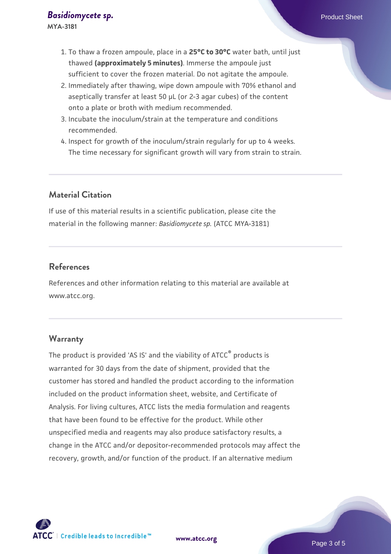**MYA-3181**

- 1. To thaw a frozen ampoule, place in a **25°C to 30°C** water bath, until just thawed **(approximately 5 minutes)**. Immerse the ampoule just sufficient to cover the frozen material. Do not agitate the ampoule.
- 2. Immediately after thawing, wipe down ampoule with 70% ethanol and aseptically transfer at least 50 µL (or 2-3 agar cubes) of the content onto a plate or broth with medium recommended.
- 3. Incubate the inoculum/strain at the temperature and conditions recommended.
- 4. Inspect for growth of the inoculum/strain regularly for up to 4 weeks. The time necessary for significant growth will vary from strain to strain.

# **Material Citation**

If use of this material results in a scientific publication, please cite the material in the following manner: *Basidiomycete sp.* (ATCC MYA-3181)

## **References**

References and other information relating to this material are available at www.atcc.org.

#### **Warranty**

The product is provided 'AS IS' and the viability of ATCC<sup>®</sup> products is warranted for 30 days from the date of shipment, provided that the customer has stored and handled the product according to the information included on the product information sheet, website, and Certificate of Analysis. For living cultures, ATCC lists the media formulation and reagents that have been found to be effective for the product. While other unspecified media and reagents may also produce satisfactory results, a change in the ATCC and/or depositor-recommended protocols may affect the recovery, growth, and/or function of the product. If an alternative medium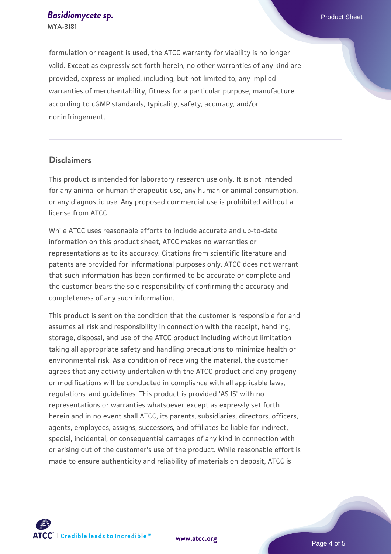formulation or reagent is used, the ATCC warranty for viability is no longer valid. Except as expressly set forth herein, no other warranties of any kind are provided, express or implied, including, but not limited to, any implied warranties of merchantability, fitness for a particular purpose, manufacture according to cGMP standards, typicality, safety, accuracy, and/or noninfringement.

## **Disclaimers**

This product is intended for laboratory research use only. It is not intended for any animal or human therapeutic use, any human or animal consumption, or any diagnostic use. Any proposed commercial use is prohibited without a license from ATCC.

While ATCC uses reasonable efforts to include accurate and up-to-date information on this product sheet, ATCC makes no warranties or representations as to its accuracy. Citations from scientific literature and patents are provided for informational purposes only. ATCC does not warrant that such information has been confirmed to be accurate or complete and the customer bears the sole responsibility of confirming the accuracy and completeness of any such information.

This product is sent on the condition that the customer is responsible for and assumes all risk and responsibility in connection with the receipt, handling, storage, disposal, and use of the ATCC product including without limitation taking all appropriate safety and handling precautions to minimize health or environmental risk. As a condition of receiving the material, the customer agrees that any activity undertaken with the ATCC product and any progeny or modifications will be conducted in compliance with all applicable laws, regulations, and guidelines. This product is provided 'AS IS' with no representations or warranties whatsoever except as expressly set forth herein and in no event shall ATCC, its parents, subsidiaries, directors, officers, agents, employees, assigns, successors, and affiliates be liable for indirect, special, incidental, or consequential damages of any kind in connection with or arising out of the customer's use of the product. While reasonable effort is made to ensure authenticity and reliability of materials on deposit, ATCC is



**[www.atcc.org](http://www.atcc.org)**

Page 4 of 5